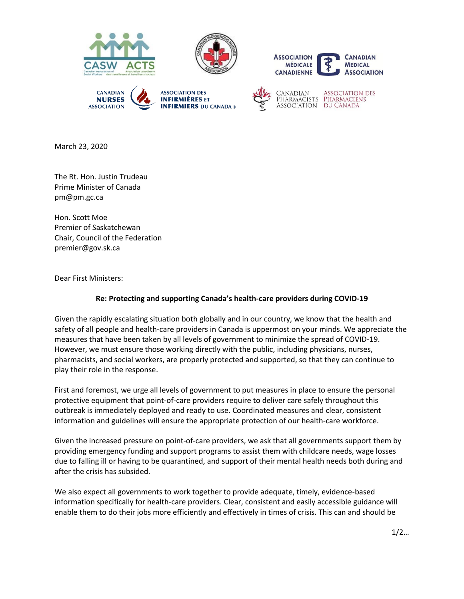









**ASSOCIATION DES** PHARMACISTS PHARMACIENS ASSOCIATION DU CANADA

March 23, 2020

The Rt. Hon. Justin Trudeau Prime Minister of Canada pm@pm.gc.ca

Hon. Scott Moe Premier of Saskatchewan Chair, Council of the Federation premier@gov.sk.ca

Dear First Ministers:

## **Re: Protecting and supporting Canada's health-care providers during COVID-19**

Given the rapidly escalating situation both globally and in our country, we know that the health and safety of all people and health-care providers in Canada is uppermost on your minds. We appreciate the measures that have been taken by all levels of government to minimize the spread of COVID-19. However, we must ensure those working directly with the public, including physicians, nurses, pharmacists, and social workers, are properly protected and supported, so that they can continue to play their role in the response.

First and foremost, we urge all levels of government to put measures in place to ensure the personal protective equipment that point-of-care providers require to deliver care safely throughout this outbreak is immediately deployed and ready to use. Coordinated measures and clear, consistent information and guidelines will ensure the appropriate protection of our health-care workforce.

Given the increased pressure on point-of-care providers, we ask that all governments support them by providing emergency funding and support programs to assist them with childcare needs, wage losses due to falling ill or having to be quarantined, and support of their mental health needs both during and after the crisis has subsided.

We also expect all governments to work together to provide adequate, timely, evidence-based information specifically for health-care providers. Clear, consistent and easily accessible guidance will enable them to do their jobs more efficiently and effectively in times of crisis. This can and should be